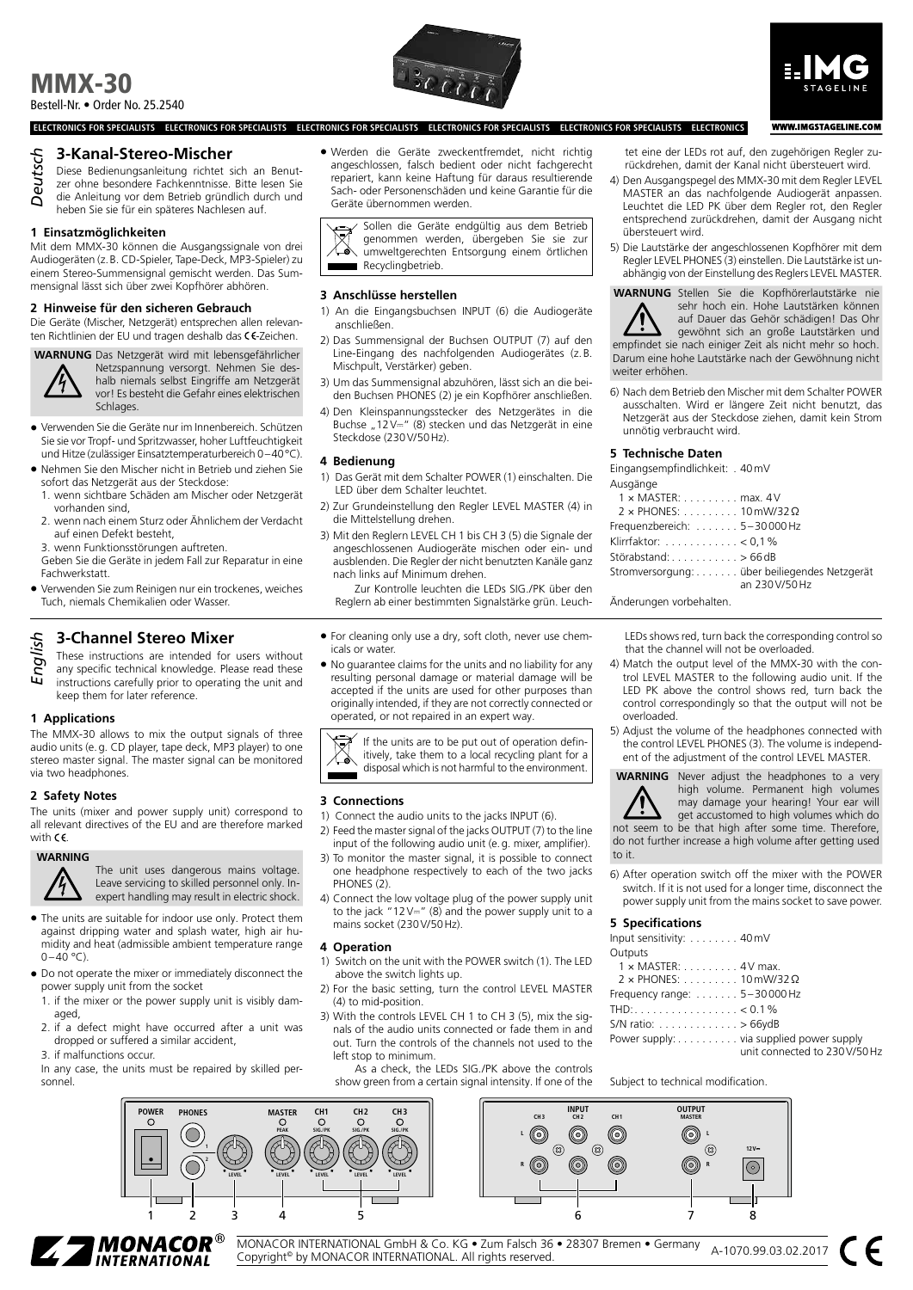# MMX-30 Bestell-Nr. • Order No. 25.2540





**WWW.IMGSTAGELINE.COM** 

## **3-Kanal-Stereo-Mischer**

- Diese Bedienungsanleitung richtet sich an Benut-*Deutsch*
- zer ohne besondere Fachkenntnisse. Bitte lesen Sie
- die Anleitung vor dem Betrieb gründlich durch und
- heben Sie sie für ein späteres Nachlesen auf.

#### **1 Einsatzmöglichkeiten**

Mit dem MMX-30 können die Ausgangssignale von drei Audiogeräten (z.B. CD-Spieler, Tape-Deck, MP3-Spieler) zu einem Stereo-Summensignal gemischt werden. Das Summensignal lässt sich über zwei Kopfhörer abhören.

#### **2 Hinweise für den sicheren Gebrauch**

Die Geräte (Mischer, Netzgerät) entsprechen allen relevanten Richtlinien der EU und tragen deshalb das CE-Zeichen.



**WARNUNG** Das Netzgerät wird mit lebensgefährlicher Netzspannung versorgt. Nehmen Sie deshalb niemals selbst Eingriffe am Netzgerät vor! Es besteht die Gefahr eines elektrischen Schlages.

- Verwenden Sie die Geräte nur im Innenbereich. Schützen Sie sie vor Tropf- und Spritzwasser, hoher Luftfeuchtigkeit und Hitze (zulässiger Einsatztemperaturbereich 0–40°C).
- Nehmen Sie den Mischer nicht in Betrieb und ziehen Sie sofort das Netzgerät aus der Steckdose:
	- 1. wenn sichtbare Schäden am Mischer oder Netzgerät vorhanden sind,
	- 2. wenn nach einem Sturz oder Ähnlichem der Verdacht auf einen Defekt besteht,
	- 3. wenn Funktionsstörungen auftreten.
- Geben Sie die Geräte in jedem Fall zur Reparatur in eine **Fachwerkstatt**
- Verwenden Sie zum Reinigen nur ein trockenes, weiches Tuch, niemals Chemikalien oder Wasser.

# **3-Channel Stereo Mixer**

These instructions are intended for users without any specific technical knowledge. Please read these instructions carefully prior to operating the unit and keep them for later reference. *English*

#### **1 Applications**

The MMX-30 allows to mix the output signals of three audio units (e.g. CD player, tape deck, MP3 player) to one stereo master signal. The master signal can be monitored via two headphones.

## **2 Safety Notes**

The units (mixer and power supply unit) correspond to all relevant directives of the EU and are therefore marked with  $C\epsilon$ .

#### **WARNING**

The unit uses dangerous mains voltage. Leave servicing to skilled personnel only. Inexpert handling may result in electric shock.

- The units are suitable for indoor use only. Protect them against dripping water and splash water, high air humidity and heat (admissible ambient temperature range  $0-40$  °C).
- Do not operate the mixer or immediately disconnect the power supply unit from the socket
- 1. if the mixer or the power supply unit is visibly damaged,
- 2. if a defect might have occurred after a unit was dropped or suffered a similar accident,
- 3. if malfunctions occur.
- In any case, the units must be repaired by skilled personnel.

• Werden die Geräte zweckentfremdet, nicht richtig angeschlossen, falsch bedient oder nicht fachgerecht repariert, kann keine Haftung für daraus resultierende Sach- oder Personenschäden und keine Garantie für die Geräte übernommen werden.

Sollen die Geräte endgültig aus dem Betrieb genommen werden, übergeben Sie sie zur umweltgerechten Entsorgung einem örtlichen Recyclingbetrieb.

#### **3 Anschlüsse herstellen**

Steckdose (230V/50Hz).

**ELECTRONICS FOR SPECIALISTS ELECTRONICS FOR SPECIALISTS ELECTRONICS FOR SPECIALISTS ELECTRONICS FOR SPECIALISTS ELECTRONICS FOR SPECIALISTS ELECTRONICS**

- 1) An die Eingangsbuchsen INPUT (6) die Audiogeräte anschließen.
- 2) Das Summensignal der Buchsen OUTPUT (7) auf den Line-Eingang des nachfolgenden Audiogerätes (z.B. Mischpult, Verstärker) geben.
- 3) Um das Summensignal abzuhören, lässt sich an die beiden Buchsen PHONES (2) je ein Kopfhörer anschließen.
- 4) Den Kleinspannungsstecker des Netzgerätes in die Buchse "12 $V =$ " (8) stecken und das Netzgerät in eine

#### **4 Bedienung**

- 1) Das Gerät mit dem Schalter POWER (1) einschalten. Die LED über dem Schalter leuchtet.
- 2) Zur Grundeinstellung den Regler LEVEL MASTER (4) in die Mittelstellung drehen.
- 3) Mit den Reglern LEVEL CH 1 bis CH 3 (5) die Signale der angeschlossenen Audiogeräte mischen oder ein- und ausblenden. Die Regler der nicht benutzten Kanäle ganz nach links auf Minimum drehen.

Zur Kontrolle leuchten die LEDs SIG./PK über den Reglern ab einer bestimmten Signalstärke grün. Leuch-

- For cleaning only use a dry, soft cloth, never use chemicals or water.
- No guarantee claims for the units and no liability for any resulting personal damage or material damage will be accepted if the units are used for other purposes than originally intended, if they are not correctly connected or operated, or not repaired in an expert way.

If the units are to be put out of operation definitively, take them to a local recycling plant for a disposal which is not harmful to the environment.

#### **3 Connections**

- 1) Connect the audio units to the jacks INPUT (6).
- 2) Feed the master signal of the jacks OUTPUT (7) to the line input of the following audio unit (e.g. mixer, amplifier).
- 3) To monitor the master signal, it is possible to connect one headphone respectively to each of the two jacks PHONES<sup>(2)</sup>
- 4) Connect the low voltage plug of the power supply unit to the jack "12V $=$ " (8) and the power supply unit to a mains socket (230V/50Hz).

#### **4 Operation**

- 1) Switch on the unit with the POWER switch (1). The LED above the switch lights up.
- 2) For the basic setting, turn the control LEVEL MASTER (4) to mid-position.
- 3) With the controls LEVEL CH 1 to CH 3 (5), mix the signals of the audio units connected or fade them in and out. Turn the controls of the channels not used to the left stop to minimum.
	- As a check, the LEDs SIG./PK above the controls show green from a certain signal intensity. If one of the

tet eine der LEDs rot auf, den zugehörigen Regler zurückdrehen, damit der Kanal nicht übersteuert wird.

- 4) Den Ausgangspegel des MMX-30 mit dem Regler LEVEL MASTER an das nachfolgende Audiogerät anpassen. Leuchtet die LED PK über dem Regler rot, den Regler entsprechend zurückdrehen, damit der Ausgang nicht übersteuert wird.
- 5) Die Lautstärke der angeschlossenen Kopfhörer mit dem Regler LEVEL PHONES (3) einstellen. Die Lautstärke ist unabhängig von der Einstellung des Reglers LEVEL MASTER.

**WARNUNG** Stellen Sie die Kopfhörerlautstärke nie

sehr hoch ein. Hohe Lautstärken können auf Dauer das Gehör schädigen! Das Ohr gewöhnt sich an große Lautstärken und empfindet sie nach einiger Zeit als nicht mehr so hoch. Darum eine hohe Lautstärke nach der Gewöhnung nicht weiter erhöhen.

6) Nach dem Betrieb den Mischer mit dem Schalter POWER ausschalten. Wird er längere Zeit nicht benutzt, das Netzgerät aus der Steckdose ziehen, damit kein Strom unnötig verbraucht wird.

#### **5 Technische Daten**

Eingangsempfindlichkeit: . 40mV

| $1 \times$ MASTER: $\dots \dots \dots$ max. 4 V                |
|----------------------------------------------------------------|
| $2 \times$ PHONES: 10 mW/32 $\Omega$                           |
| Frequenzbereich: $\ldots \ldots 5-30000$ Hz                    |
| Klirrfaktor: $\ldots \ldots \ldots \ldots < 0.1\%$             |
| Störabstand: $\dots \dots \dots \dots > 66$ dB                 |
| Stromversorgung: über beiliegendes Netzgerät<br>an 230 V/50 Hz |
|                                                                |

Änderungen vorbehalten.

LEDs shows red, turn back the corresponding control so that the channel will not be overloaded.

- 4) Match the output level of the MMX-30 with the control LEVEL MASTER to the following audio unit. If the LED PK above the control shows red, turn back the control correspondingly so that the output will not be overloaded.
- 5) Adjust the volume of the headphones connected with the control LEVEL PHONES (3). The volume is independent of the adjustment of the control LEVEL MASTER.



**WARNING** Never adjust the headphones to a very high volume. Permanent high volumes may damage your hearing! Your ear will

get accustomed to high volumes which do not seem to be that high after some time. Therefore, do not further increase a high volume after getting used to it.

6) After operation switch off the mixer with the POWER switch. If it is not used for a longer time, disconnect the power supply unit from the mains socket to save power.

#### **5 Specifications**

| Input sensitivity: 40 mV                                        |                               |
|-----------------------------------------------------------------|-------------------------------|
| Outputs                                                         |                               |
| $1 \times$ MASTER: $\dots \dots \dots 4V$ max.                  |                               |
| $2 \times$ PHONES: 10 mW/32 $\Omega$                            |                               |
| Frequency range: $\dots \dots 5-30000$ Hz                       |                               |
| THD: $\ldots \ldots \ldots \ldots \ldots \ldots \ldots < 0.1\%$ |                               |
| S/N ratio: $\ldots \ldots \ldots \ldots > 66ydB$                |                               |
| Power supply: via supplied power supply                         | unit connected to 230 V/50 Hz |

Subject to technical modification.



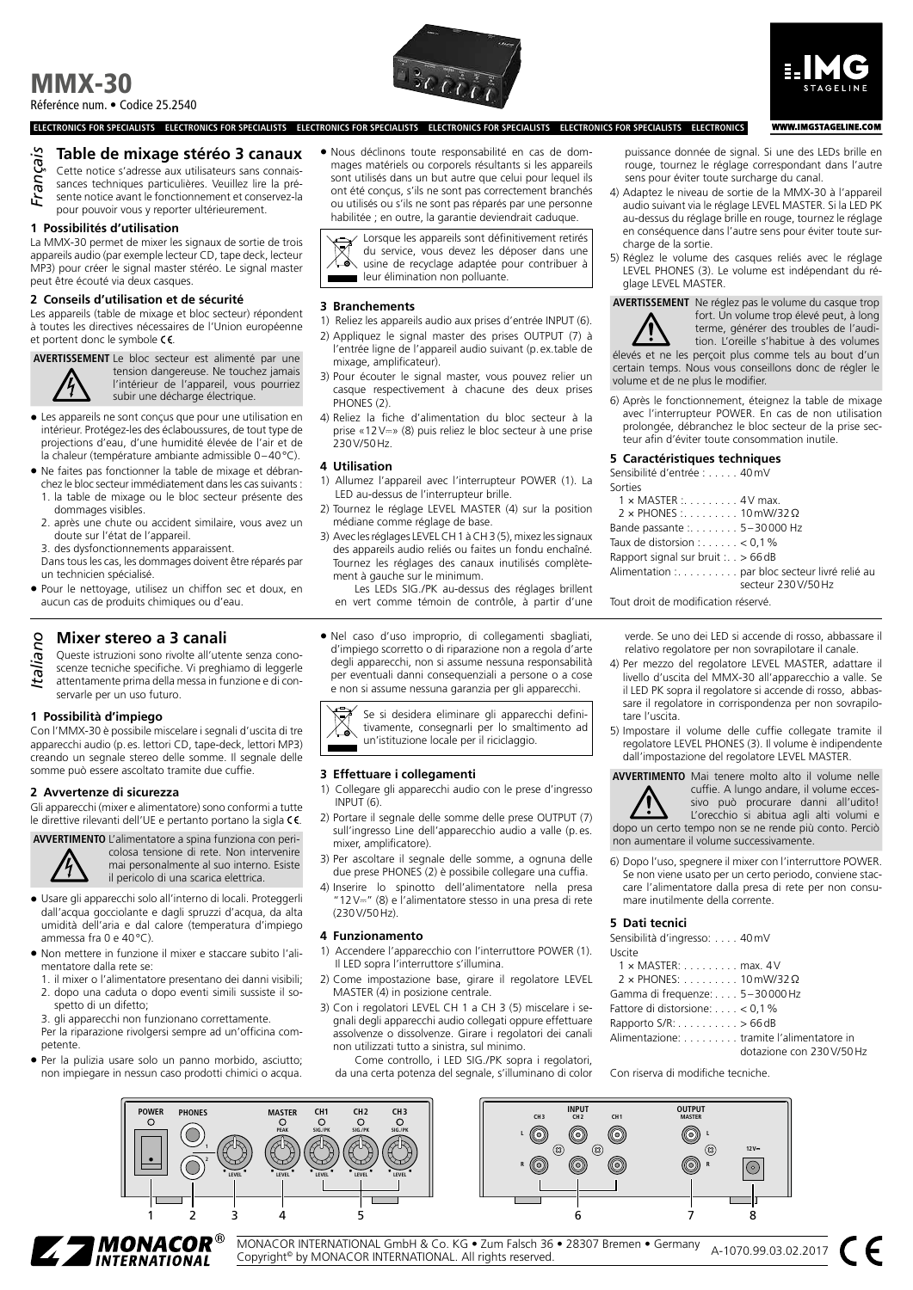# MMX-30 Réferénce num. • Codice 25.2540



# **WWW.IMGSTAGELINE.COM**

**ELECTRONICS FOR SPECIALISTS ELECTRONICS FOR SPECIALISTS ELECTRONICS FOR SPECIALISTS ELECTRONICS FOR SPECIALISTS ELECTRONICS FOR SPECIALISTS ELECTRONICS**

## **Table de mixage stéréo 3 canaux**

Cette notice s'adresse aux utilisateurs sans connaissances techniques particulières. Veuillez lire la pré-*Français*

- sente notice avant le fonctionnement et conservez-la
- pour pouvoir vous y reporter ultérieurement.

# **1 Possibilités d'utilisation**

La MMX-30 permet de mixer les signaux de sortie de trois appareils audio (par exemple lecteur CD, tape deck, lecteur MP3) pour créer le signal master stéréo. Le signal master peut être écouté via deux casques.

#### **2 Conseils d'utilisation et de sécurité**

Les appareils (table de mixage et bloc secteur) répondent à toutes les directives nécessaires de l'Union européenne et portent donc le symbole CE.

**AVERTISSEMENT** Le bloc secteur est alimenté par une



tension dangereuse. Ne touchez jamais l'intérieur de l'appareil, vous pourriez subir une décharge électrique.

- Les appareils ne sont conçus que pour une utilisation en intérieur. Protégez-les des éclaboussures, de tout type de projections d'eau, d'une humidité élevée de l'air et de la chaleur (température ambiante admissible 0–40°C).
- Ne faites pas fonctionner la table de mixage et débranchez le bloc secteur immédiatement dans les cas suivants :
	- 1. la table de mixage ou le bloc secteur présente des dommages visibles.
	- 2. après une chute ou accident similaire, vous avez un doute sur l'état de l'appareil.

3. des dysfonctionnements apparaissent.

- Dans tous les cas, les dommages doivent être réparés par un technicien spécialisé.
- Pour le nettoyage, utilisez un chiffon sec et doux, en aucun cas de produits chimiques ou d'eau.

**If the Canalist Constrainer Stereo a 3 canalist Constrainer Steries Steries Steries Steries Steries and all annoyation attention the pregnant of the attentioner prima della messa in fu** Queste istruzioni sono rivolte all'utente senza conoscenze tecniche specifiche. Vi preghiamo di leggerle attentamente prima della messa in funzione e di conservarle per un uso futuro.

#### **1 Possibilità d'impiego**

Con l'MMX-30 è possibile miscelare i segnali d'uscita di tre apparecchi audio (p.es. lettori CD, tape-deck, lettori MP3) creando un segnale stereo delle somme. Il segnale delle somme può essere ascoltato tramite due cuffie.

#### **2 Avvertenze di sicurezza**

Gli apparecchi (mixer e alimentatore) sono conformi a tutte le direttive rilevanti dell'UE e pertanto portano la sigla CE.



**AVVERTIMENTO** L'alimentatore a spina funziona con pericolosa tensione di rete. Non intervenire mai personalmente al suo interno. Esiste il pericolo di una scarica elettrica.

- Usare gli apparecchi solo all'interno di locali. Proteggerli dall'acqua gocciolante e dagli spruzzi d'acqua, da alta umidità dell'aria e dal calore (temperatura d'impiego ammessa fra 0 e 40°C).
- Non mettere in funzione il mixer e staccare subito l'alimentatore dalla rete se:
- 1. il mixer o l'alimentatore presentano dei danni visibili; 2. dopo una caduta o dopo eventi simili sussiste il so-
- spetto di un difetto; 3. gli apparecchi non funzionano correttamente.

Per la riparazione rivolgersi sempre ad un'officina competente.

• Per la pulizia usare solo un panno morbido, asciutto; non impiegare in nessun caso prodotti chimici o acqua.

• Nous déclinons toute responsabilité en cas de dommages matériels ou corporels résultants si les appareils sont utilisés dans un but autre que celui pour lequel ils ont été conçus, s'ils ne sont pas correctement branchés ou utilisés ou s'ils ne sont pas réparés par une personne habilitée ; en outre, la garantie deviendrait caduque.

Lorsque les appareils sont définitivement retirés du service, vous devez les déposer dans une usine de recyclage adaptée pour contribuer à leur élimination non polluante.

#### **3 Branchements**

- 1) Reliez les appareils audio aux prises d'entrée INPUT (6).
- 2) Appliquez le signal master des prises OUTPUT (7) à l'entrée ligne de l'appareil audio suivant (p.ex.table de
- mixage, amplificateur). 3) Pour écouter le signal master, vous pouvez relier un casque respectivement à chacune des deux prises PHONES<sub>(2)</sub>
- 4) Reliez la fiche d'alimentation du bloc secteur à la prise «12V⎓» (8) puis reliez le bloc secteur à une prise 230V/50Hz.

#### **4 Utilisation**

- 1) Allumez l'appareil avec l'interrupteur POWER (1). La LED au-dessus de l'interrupteur brille.
- 2) Tournez le réglage LEVEL MASTER (4) sur la position médiane comme réglage de base.
- 3) Avec les réglages LEVEL CH 1 à CH 3 (5), mixez les signaux des appareils audio reliés ou faites un fondu enchaîné. Tournez les réglages des canaux inutilisés complètement à gauche sur le minimum.

Les LEDs SIG./PK au-dessus des réglages brillent en vert comme témoin de contrôle, à partir d'une

• Nel caso d'uso improprio, di collegamenti sbagliati, d'impiego scorretto o di riparazione non a regola d'arte degli apparecchi, non si assume nessuna responsabilità per eventuali danni consequenziali a persone o a cose e non si assume nessuna garanzia per gli apparecchi.

Se si desidera eliminare gli apparecchi definitivamente, consegnarli per lo smaltimento ad un'istituzione locale per il riciclaggio.

#### **3 Effettuare i collegamenti**

- 1) Collegare gli apparecchi audio con le prese d'ingresso  $INPIIT(6)$
- 2) Portare il segnale delle somme delle prese OUTPUT (7) sull'ingresso Line dell'apparecchio audio a valle (p. es. mixer, amplificatore).
- 3) Per ascoltare il segnale delle somme, a ognuna delle due prese PHONES (2) è possibile collegare una cuffia.
- 4) Inserire lo spinotto dell'alimentatore nella presa "12V⎓" (8) e l'alimentatore stesso in una presa di rete (230V/50Hz).

#### **4 Funzionamento**

- 1) Accendere l'apparecchio con l'interruttore POWER (1). Il LED sopra l'interruttore s'illumina.
- 2) Come impostazione base, girare il regolatore LEVEL MASTER (4) in posizione centrale.
- 3) Con i regolatori LEVEL CH 1 a CH 3 (5) miscelare i segnali degli apparecchi audio collegati oppure effettuare assolvenze o dissolvenze. Girare i regolatori dei canali non utilizzati tutto a sinistra, sul minimo.
	- Come controllo, i LED SIG./PK sopra i regolatori, da una certa potenza del segnale, s'illuminano di color

puissance donnée de signal. Si une des LEDs brille en rouge, tournez le réglage correspondant dans l'autre sens pour éviter toute surcharge du canal.

- 4) Adaptez le niveau de sortie de la MMX-30 à l'appareil audio suivant via le réglage LEVEL MASTER. Si la LED PK au-dessus du réglage brille en rouge, tournez le réglage en conséquence dans l'autre sens pour éviter toute surcharge de la sortie.
- 5) Réglez le volume des casques reliés avec le réglage LEVEL PHONES (3). Le volume est indépendant du réglage LEVEL MASTER.

**AVERTISSEMENT** Ne réglez pas le volume du casque trop fort. Un volume trop élevé peut, à long terme, générer des troubles de l'audition. L'oreille s'habitue à des volumes élevés et ne les perçoit plus comme tels au bout d'un

certain temps. Nous vous conseillons donc de régler le volume et de ne plus le modifier.

6) Après le fonctionnement, éteignez la table de mixage avec l'interrupteur POWER. En cas de non utilisation prolongée, débranchez le bloc secteur de la prise secteur afin d'éviter toute consommation inutile.

#### **5 Caractéristiques techniques**

Sensibilité d'entrée : . . . . . 40mV

| Sorties                                                               |
|-----------------------------------------------------------------------|
| $1 \times$ MASTER : 4V max.                                           |
| $2 \times$ PHONES : 10 mW/32 $\Omega$                                 |
| Bande passante :. 5-30000 Hz                                          |
| Taux de distorsion : $\ldots \ldots < 0.1\%$                          |
| Rapport signal sur bruit : $. > 66$ dB                                |
| Alimentation : par bloc secteur livré relié au<br>secteur 230 V/50 Hz |

Tout droit de modification réservé.

verde. Se uno dei LED si accende di rosso, abbassare il relativo regolatore per non sovrapilotare il canale.

- 4) Per mezzo del regolatore LEVEL MASTER, adattare il livello d'uscita del MMX-30 all'apparecchio a valle. Se il LED PK sopra il regolatore si accende di rosso, abbassare il regolatore in corrispondenza per non sovrapilotare l'uscita.
- 5) Impostare il volume delle cuffie collegate tramite il regolatore LEVEL PHONES (3). Il volume è indipendente dall'impostazione del regolatore LEVEL MASTER.

**AVVERTIMENTO** Mai tenere molto alto il volume nelle cuffie. A lungo andare, il volume ecces-

sivo può procurare danni all'udito! L'orecchio si abitua agli alti volumi e dopo un certo tempo non se ne rende più conto. Perciò non aumentare il volume successivamente.

6) Dopo l'uso, spegnere il mixer con l'interruttore POWER. Se non viene usato per un certo periodo, conviene staccare l'alimentatore dalla presa di rete per non consumare inutilmente della corrente.

#### **5 Dati tecnici**

Sensibilità d'ingresso: . . . . 40mV

| Uscite                                          |                           |
|-------------------------------------------------|---------------------------|
| $1 \times$ MASTER: $\dots \dots \dots$ max. 4 V |                           |
| $2 \times$ PHONES: 10 mW/32 $\Omega$            |                           |
| Gamma di frequenze: 5-30000 Hz                  |                           |
| Fattore di distorsione: < 0,1 %                 |                           |
| Rapporto $S/R$ : > 66 dB                        |                           |
| Alimentazione: tramite l'alimentatore in        | dotazione con 230 V/50 Hz |

Con riserva di modifiche tecniche.